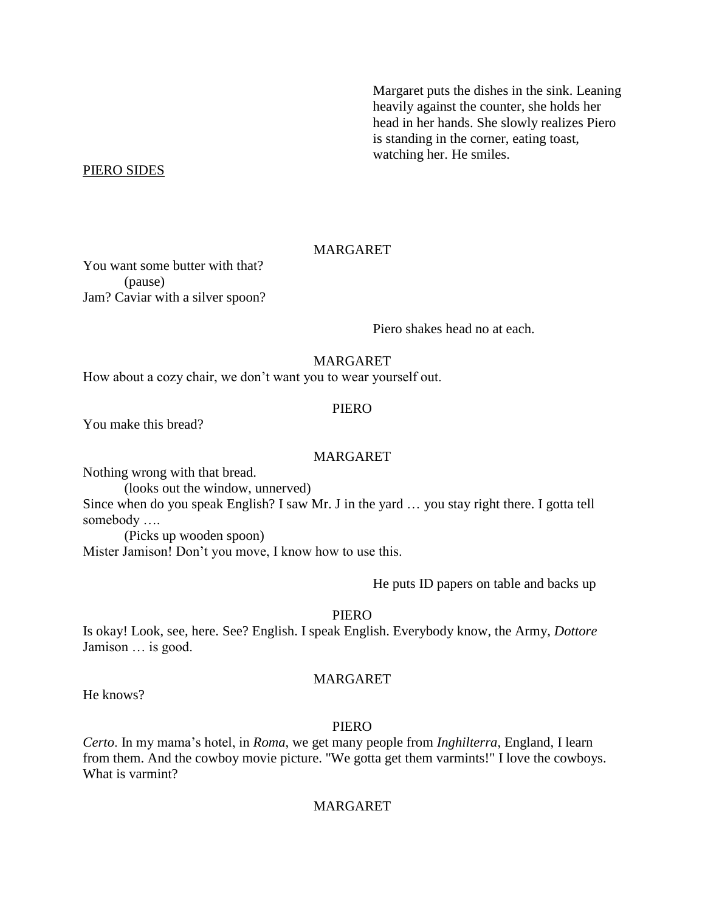Margaret puts the dishes in the sink. Leaning heavily against the counter, she holds her head in her hands. She slowly realizes Piero is standing in the corner, eating toast, watching her. He smiles.

## PIERO SIDES

# MARGARET

You want some butter with that? (pause) Jam? Caviar with a silver spoon?

Piero shakes head no at each.

# MARGARET

How about a cozy chair, we don't want you to wear yourself out.

## **PIERO**

You make this bread?

#### MARGARET

Nothing wrong with that bread.

(looks out the window, unnerved)

Since when do you speak English? I saw Mr. J in the yard … you stay right there. I gotta tell somebody ….

(Picks up wooden spoon) Mister Jamison! Don't you move, I know how to use this.

He puts ID papers on table and backs up

# PIERO

Is okay! Look, see, here. See? English. I speak English. Everybody know, the Army, *Dottore* Jamison … is good.

# MARGARET

He knows?

#### PIERO

*Certo*. In my mama's hotel, in *Roma*, we get many people from *Inghilterra*, England, I learn from them. And the cowboy movie picture. "We gotta get them varmints!" I love the cowboys. What is varmint?

# MARGARET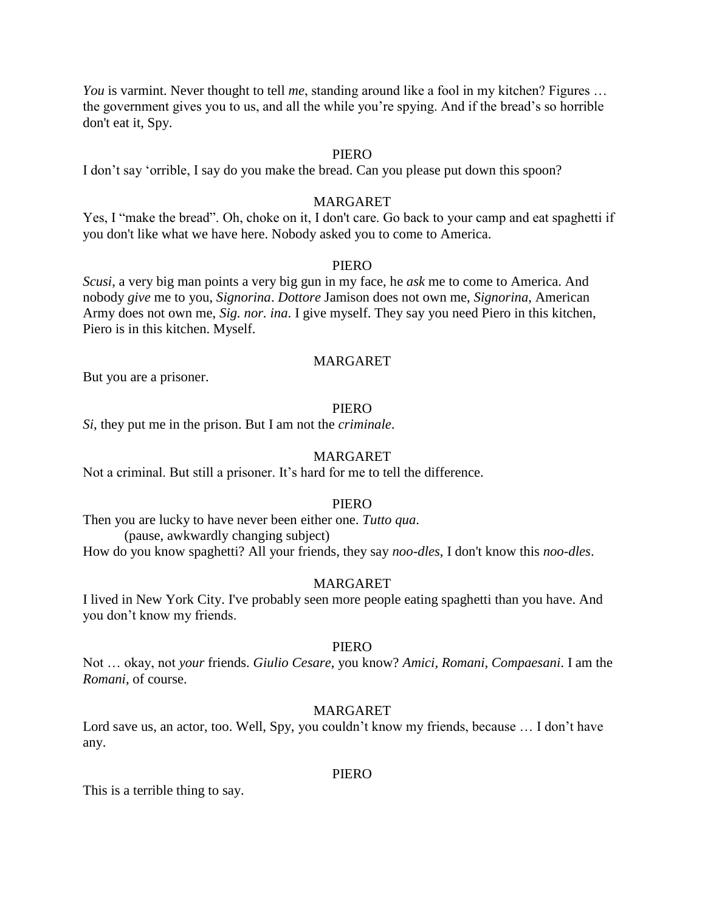*You* is varmint. Never thought to tell *me*, standing around like a fool in my kitchen? Figures ... the government gives you to us, and all the while you're spying. And if the bread's so horrible don't eat it, Spy.

# PIERO

I don't say 'orrible, I say do you make the bread. Can you please put down this spoon?

# MARGARET

Yes, I "make the bread". Oh, choke on it, I don't care. Go back to your camp and eat spaghetti if you don't like what we have here. Nobody asked you to come to America.

# PIERO

*Scusi*, a very big man points a very big gun in my face, he *ask* me to come to America. And nobody *give* me to you, *Signorina*. *Dottore* Jamison does not own me, *Signorina*, American Army does not own me, *Sig. nor. ina*. I give myself. They say you need Piero in this kitchen, Piero is in this kitchen. Myself.

# MARGARET

But you are a prisoner.

## PIERO

*Si*, they put me in the prison. But I am not the *criminale*.

#### MARGARET

Not a criminal. But still a prisoner. It's hard for me to tell the difference.

#### PIERO

Then you are lucky to have never been either one. *Tutto qua*. (pause, awkwardly changing subject)

How do you know spaghetti? All your friends, they say *noo-dles*, I don't know this *noo-dles*.

#### MARGARET

I lived in New York City. I've probably seen more people eating spaghetti than you have. And you don't know my friends.

## PIERO

Not … okay, not *your* friends. *Giulio Cesare*, you know? *Amici, Romani, Compaesani*. I am the *Romani*, of course.

# MARGARET

Lord save us, an actor, too. Well, Spy, you couldn't know my friends, because … I don't have any.

#### PIERO

This is a terrible thing to say.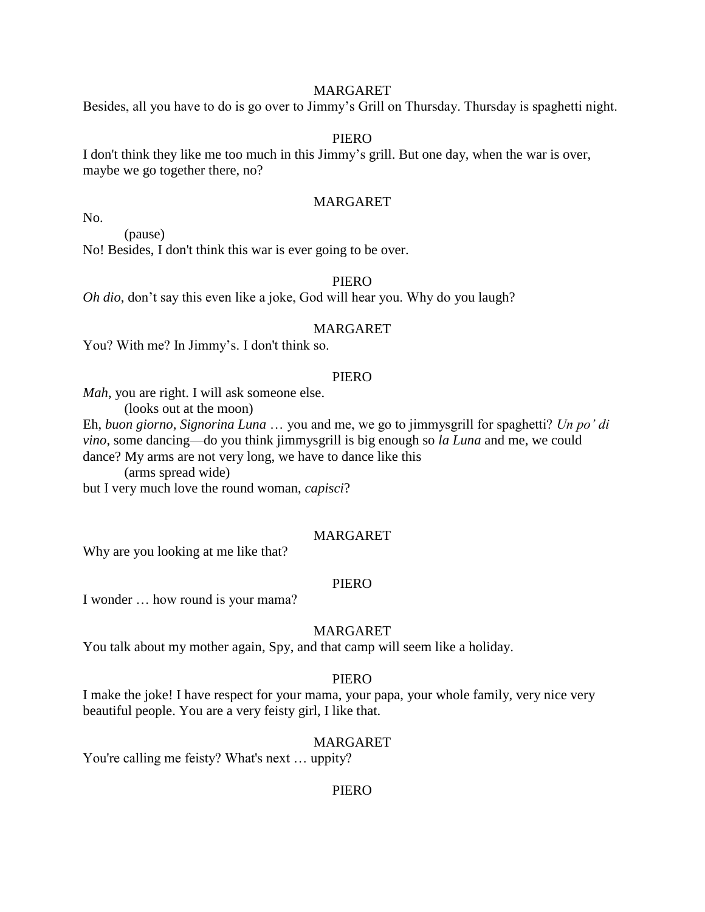# MARGARET

Besides, all you have to do is go over to Jimmy's Grill on Thursday. Thursday is spaghetti night.

## PIERO

I don't think they like me too much in this Jimmy's grill. But one day, when the war is over, maybe we go together there, no?

# MARGARET

No.

(pause)

No! Besides, I don't think this war is ever going to be over.

# PIERO

*Oh dio*, don't say this even like a joke, God will hear you. Why do you laugh?

# MARGARET

You? With me? In Jimmy's. I don't think so.

#### PIERO

*Mah*, you are right. I will ask someone else.

(looks out at the moon)

Eh, *buon giorno*, *Signorina Luna* … you and me, we go to jimmysgrill for spaghetti? *Un po' di vino*, some dancing—do you think jimmysgrill is big enough so *la Luna* and me, we could dance? My arms are not very long, we have to dance like this

(arms spread wide)

but I very much love the round woman, *capisci*?

# MARGARET

Why are you looking at me like that?

#### PIERO

I wonder … how round is your mama?

# MARGARET

You talk about my mother again, Spy, and that camp will seem like a holiday.

#### PIERO

I make the joke! I have respect for your mama, your papa, your whole family, very nice very beautiful people. You are a very feisty girl, I like that.

# MARGARET

You're calling me feisty? What's next … uppity?

## PIERO